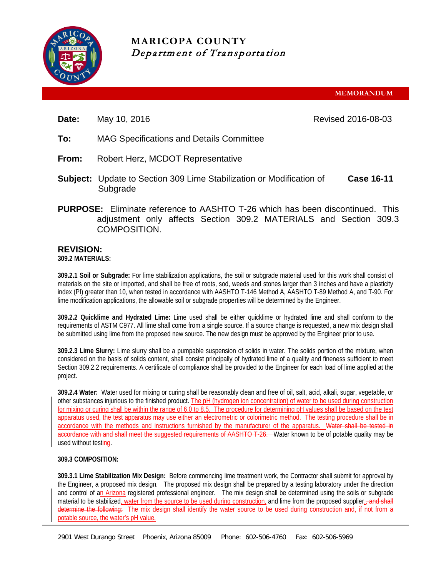

# **MARICOPA COUNTY** Department of Transportation

**MEMORANDUM**

**Date:** May 10, 2016 **Revised 2016-08-03** Revised 2016-08-03

- **To:** MAG Specifications and Details Committee
- **From:** Robert Herz, MCDOT Representative
- **Subject:** Update to Section 309 Lime Stabilization or Modification of Subgrade **Case 16-11**
- **PURPOSE:** Eliminate reference to AASHTO T-26 which has been discontinued. This adjustment only affects Section 309.2 MATERIALS and Section 309.3 COMPOSITION.

## **REVISION:**

**309.2 MATERIALS:**

**309.2.1 Soil or Subgrade:** For lime stabilization applications, the soil or subgrade material used for this work shall consist of materials on the site or imported, and shall be free of roots, sod, weeds and stones larger than 3 inches and have a plasticity index (PI) greater than 10, when tested in accordance with AASHTO T-146 Method A, AASHTO T-89 Method A, and T-90. For lime modification applications, the allowable soil or subgrade properties will be determined by the Engineer.

**309.2.2 Quicklime and Hydrated Lime:** Lime used shall be either quicklime or hydrated lime and shall conform to the requirements of ASTM C977. All lime shall come from a single source. If a source change is requested, a new mix design shall be submitted using lime from the proposed new source. The new design must be approved by the Engineer prior to use.

**309.2.3 Lime Slurry:** Lime slurry shall be a pumpable suspension of solids in water. The solids portion of the mixture, when considered on the basis of solids content, shall consist principally of hydrated lime of a quality and fineness sufficient to meet Section 309.2.2 requirements. A certificate of compliance shall be provided to the Engineer for each load of lime applied at the project.

**309.2.4 Water:** Water used for mixing or curing shall be reasonably clean and free of oil, salt, acid, alkali, sugar, vegetable, or other substances injurious to the finished product. The pH (hydrogen ion concentration) of water to be used during construction for mixing or curing shall be within the range of 6.0 to 8.5. The procedure for determining pH values shall be based on the test apparatus used, the test apparatus may use either an electrometric or colorimetric method. The testing procedure shall be in accordance with the methods and instructions furnished by the manufacturer of the apparatus. Water shall be tested in accordance with and shall meet the suggested requirements of AASHTO T-26. Water known to be of potable quality may be used without testing.

### **309.3 COMPOSITION:**

**309.3.1 Lime Stabilization Mix Design:** Before commencing lime treatment work, the Contractor shall submit for approval by the Engineer, a proposed mix design. The proposed mix design shall be prepared by a testing laboratory under the direction and control of an Arizona registered professional engineer. The mix design shall be determined using the soils or subgrade material to be stabilized, water from the source to be used during construction, and lime from the proposed supplier., and shall determine the following: The mix design shall identify the water source to be used during construction and, if not from a potable source, the water's pH value.